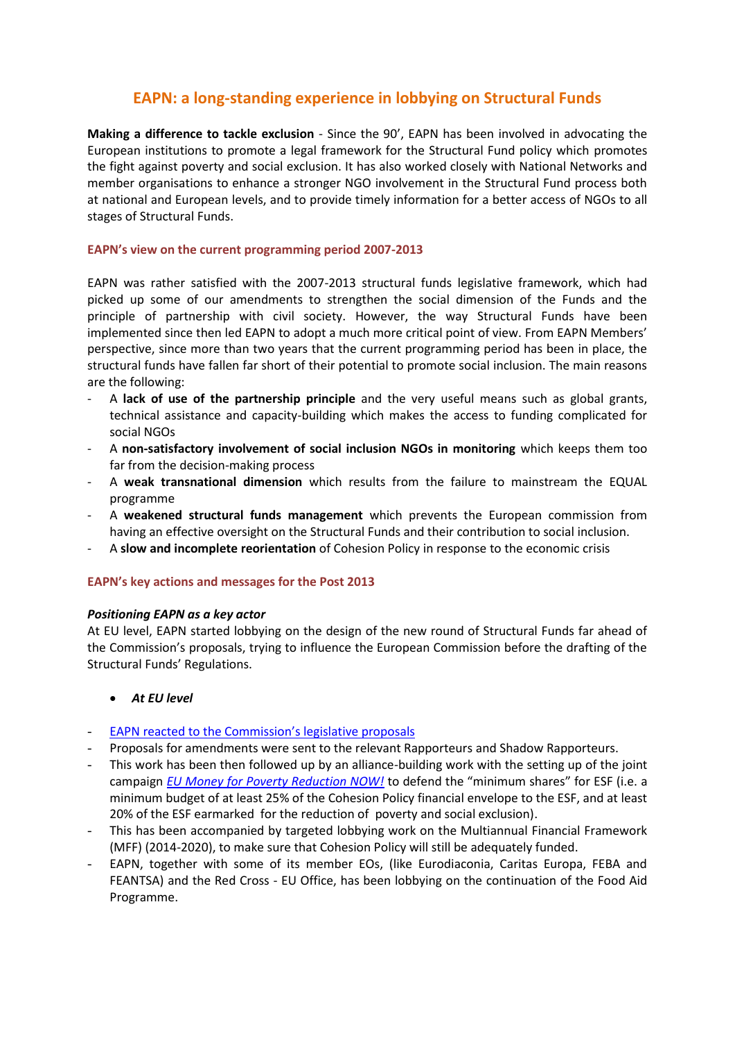# **EAPN: a long-standing experience in lobbying on Structural Funds**

**Making a difference to tackle exclusion** - Since the 90', EAPN has been involved in advocating the European institutions to promote a legal framework for the Structural Fund policy which promotes the fight against poverty and social exclusion. It has also worked closely with National Networks and member organisations to enhance a stronger NGO involvement in the Structural Fund process both at national and European levels, and to provide timely information for a better access of NGOs to all stages of Structural Funds.

# **EAPN's view on the current programming period 2007-2013**

EAPN was rather satisfied with the 2007-2013 structural funds legislative framework, which had picked up some of our amendments to strengthen the social dimension of the Funds and the principle of partnership with civil society. However, the way Structural Funds have been implemented since then led EAPN to adopt a much more critical point of view. From EAPN Members' perspective, since more than two years that the current programming period has been in place, the structural funds have fallen far short of their potential to promote social inclusion. The main reasons are the following:

- A **lack of use of the partnership principle** and the very useful means such as global grants, technical assistance and capacity-building which makes the access to funding complicated for social NGOs
- A **non-satisfactory involvement of social inclusion NGOs in monitoring** which keeps them too far from the decision-making process
- A **weak transnational dimension** which results from the failure to mainstream the EQUAL programme
- A **weakened structural funds management** which prevents the European commission from having an effective oversight on the Structural Funds and their contribution to social inclusion.
- A **slow and incomplete reorientation** of Cohesion Policy in response to the economic crisis

### **EAPN's key actions and messages for the Post 2013**

### *Positioning EAPN as a key actor*

At EU level, EAPN started lobbying on the design of the new round of Structural Funds far ahead of the Commission's proposals, trying to influence the European Commission before the drafting of the Structural Funds' Regulations.

### *At EU level*

- [EAPN reacted to the Commission's legislative proposals](EAPN%20Response%20to%20the%20Commission’s%20legislative%20package%20for%20the%20EU%20Cohesion%20Policy%202014-2020)
- Proposals for amendments were sent to the relevant Rapporteurs and Shadow Rapporteurs.
- This work has been then followed up by an alliance-building work with the setting up of the joint campaign *[EU Money for Poverty Reduction NOW!](http://www.eapn.eu/en/what-we-do/our-campaigns/eu-money-for-poverty-reduction-now)* to defend the "minimum shares" for ESF (i.e. a minimum budget of at least 25% of the Cohesion Policy financial envelope to the ESF, and at least 20% of the ESF earmarked for the reduction of poverty and social exclusion).
- This has been accompanied by targeted lobbying work on the Multiannual Financial Framework (MFF) (2014-2020), to make sure that Cohesion Policy will still be adequately funded.
- EAPN, together with some of its member EOs, (like Eurodiaconia, Caritas Europa, FEBA and FEANTSA) and the Red Cross - EU Office, has been lobbying on the continuation of the Food Aid Programme.